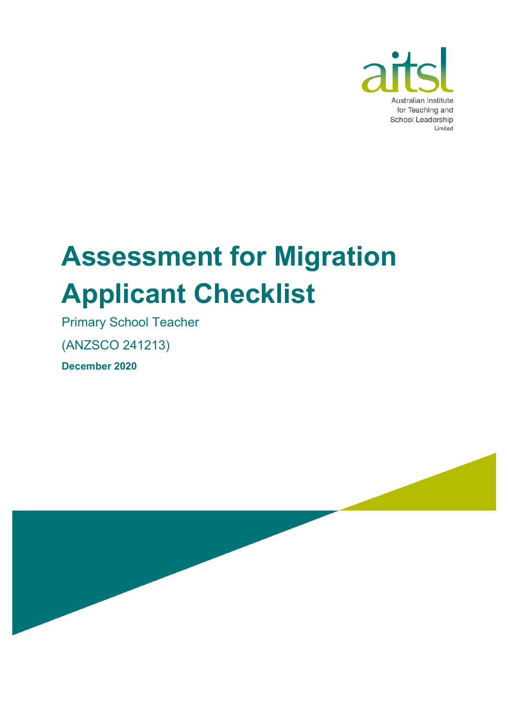

# **Assessment for Migration Applicant Checklist**

Primary School Teacher

(ANZSCO 241213)

**December 2020**

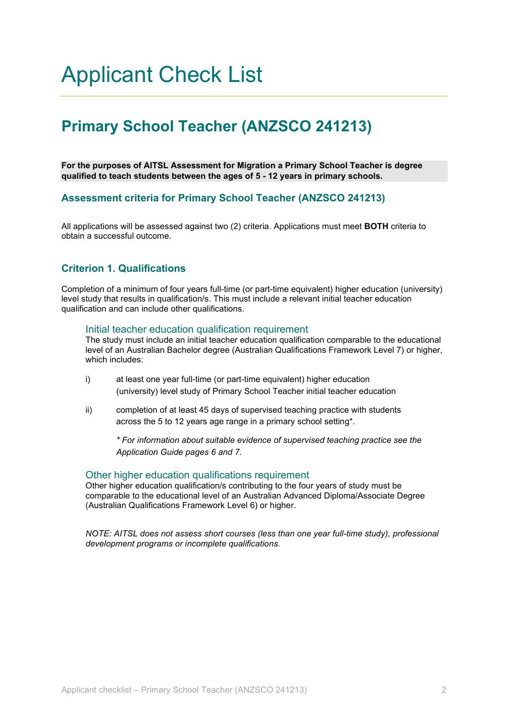### Applicant Check List

### **Primary School Teacher (ANZSCO 241213)**

**For the purposes of AITSL Assessment for Migration a Primary School Teacher is degree qualified to teach students between the ages of 5 - 12 years in primary schools.**

#### **Assessment criteria for Primary School Teacher (ANZSCO 241213)**

All applications will be assessed against two (2) criteria. Applications must meet **BOTH** criteria to obtain a successful outcome.

#### **Criterion 1. Qualifications**

Completion of a minimum of four years full-time (or part-time equivalent) higher education (university) level study that results in qualification/s. This must include a relevant initial teacher education qualification and can include other qualifications.

#### Initial teacher education qualification requirement

The study must include an initial teacher education qualification comparable to the educational level of an Australian Bachelor degree (Australian Qualifications Framework Level 7) or higher, which includes:

- i) at least one year full-time (or part-time equivalent) higher education (university) level study of Primary School Teacher initial teacher education
- ii) completion of at least 45 days of supervised teaching practice with students across the 5 to 12 years age range in a primary school setting\*.

*\* For information about suitable evidence of supervised teaching practice see the Application Guide pages 6 and 7.*

#### Other higher education qualifications requirement

Other higher education qualification/s contributing to the four years of study must be comparable to the educational level of an Australian Advanced Diploma/Associate Degree (Australian Qualifications Framework Level 6) or higher.

*NOTE: AITSL does not assess short courses (less than one year full-time study), professional development programs or incomplete qualifications.*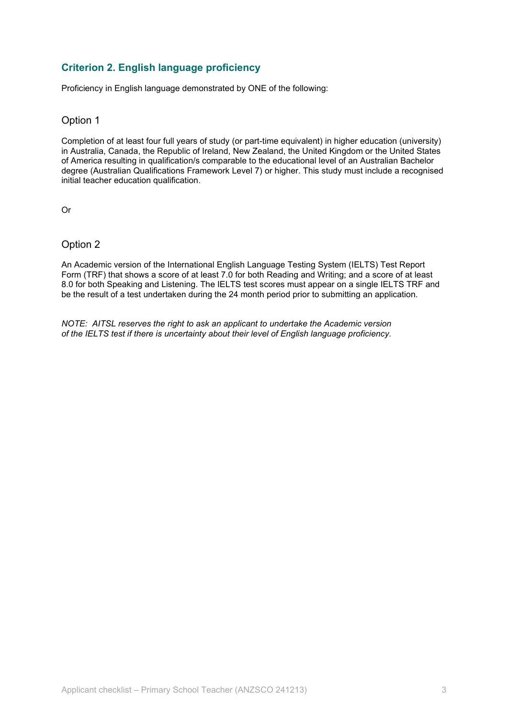#### **Criterion 2. English language proficiency**

Proficiency in English language demonstrated by ONE of the following:

#### Option 1

Completion of at least four full years of study (or part-time equivalent) in higher education (university) in Australia, Canada, the Republic of Ireland, New Zealand, the United Kingdom or the United States of America resulting in qualification/s comparable to the educational level of an Australian Bachelor degree (Australian Qualifications Framework Level 7) or higher. This study must include a recognised initial teacher education qualification.

Or

#### Option 2

An Academic version of the International English Language Testing System (IELTS) Test Report Form (TRF) that shows a score of at least 7.0 for both Reading and Writing; and a score of at least 8.0 for both Speaking and Listening. The IELTS test scores must appear on a single IELTS TRF and be the result of a test undertaken during the 24 month period prior to submitting an application.

*NOTE: AITSL reserves the right to ask an applicant to undertake the Academic version of the IELTS test if there is uncertainty about their level of English language proficiency.*